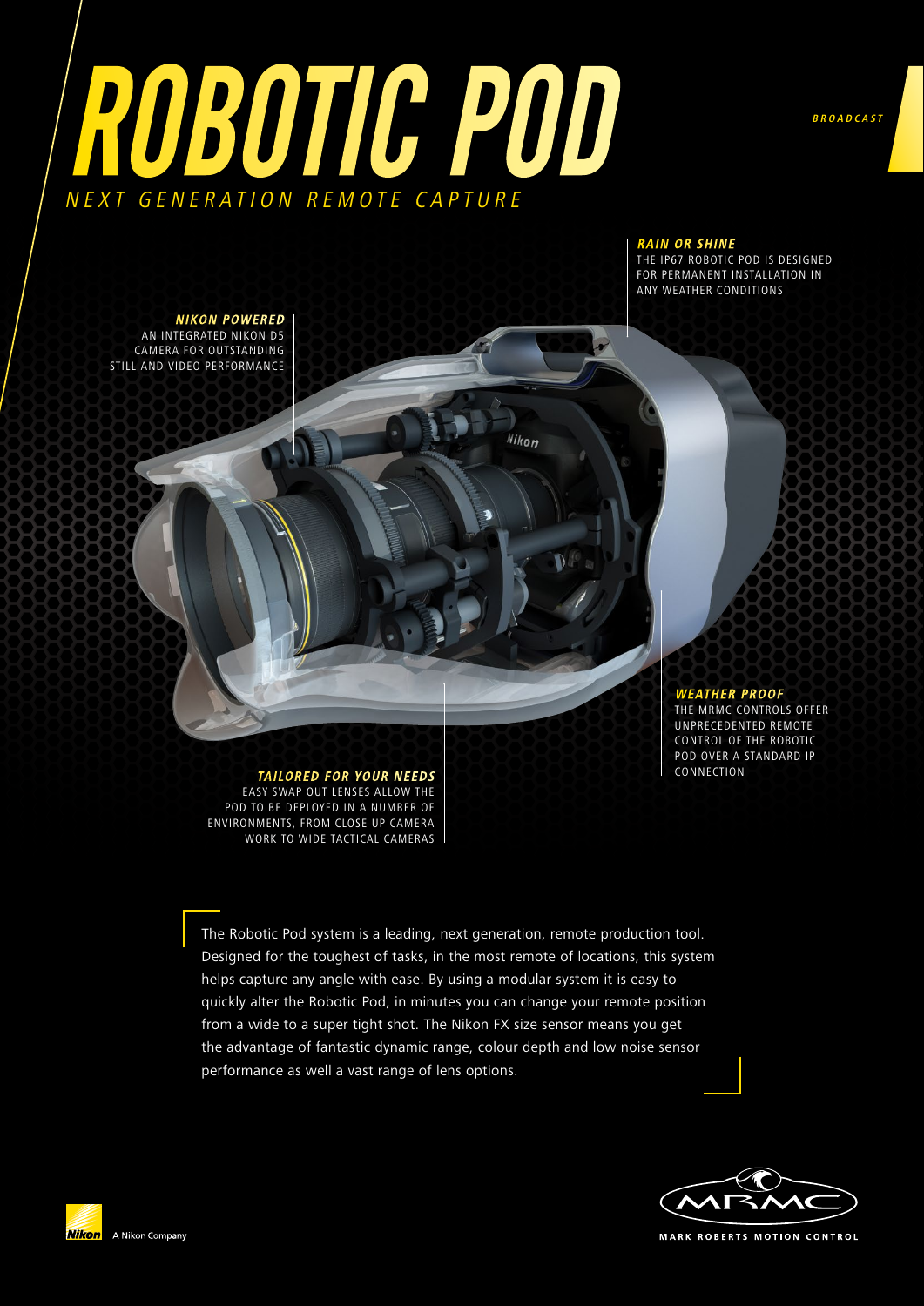



#### **RAIN OR SHINE**

THE IP67 ROBOTIC POD IS DESIGNED FOR PERMANENT INSTALLATION IN ANY WEATHER CONDITIONS

**NIKON POWERED**  AN INTEGRATED NIKON D5 CAMERA FOR OUTSTANDING STILL AND VIDEO PERFORMANCE

> **WEATHER PROOF**  THE MRMC CONTROLS OFFER UNPRECEDENTED REMOTE CONTROL OF THE ROBOTIC POD OVER A STANDARD IP<br>CONNECTION

**TAILORED FOR YOUR NEEDS** EASY SWAP OUT LENSES ALLOW THE POD TO BE DEPLOYED IN A NUMBER OF ENVIRONMENTS, FROM CLOSE UP CAMERA WORK TO WIDE TACTICAL CAMERAS

The Robotic Pod system is a leading, next generation, remote production tool. Designed for the toughest of tasks, in the most remote of locations, this system helps capture any angle with ease. By using a modular system it is easy to quickly alter the Robotic Pod, in minutes you can change your remote position from a wide to a super tight shot. The Nikon FX size sensor means you get the advantage of fantastic dynamic range, colour depth and low noise sensor performance as well a vast range of lens options.

Nikon



**MARK ROBERTS MOTION CONTROL**